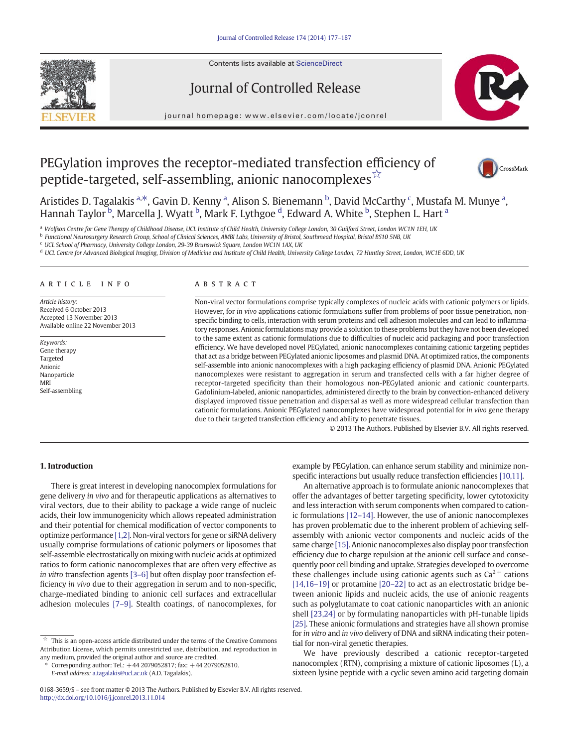Contents lists available at ScienceDirect





journal homepage: www.elsevier.com/locate/jconrel



# PEGylation improves the receptor-mediated transfection efficiency of peptide-targeted, self-assembling, anionic nanocomplexes  $\frac{1}{2}$



Aristides D. Tagalakis <sup>a,\*</sup>, Gavin D. Kenny <sup>a</sup>, Alison S. Bienemann <sup>b</sup>, David McCarthy <sup>c</sup>, Mustafa M. Munye <sup>a</sup>, Hannah Taylor <sup>b</sup>, Marcella J. Wyatt <sup>b</sup>, Mark F. Lythgoe <sup>d</sup>, Edward A. White <sup>b</sup>, Stephen L. Hart <sup>a</sup>

a Wolfson Centre for Gene Therapy of Childhood Disease, UCL Institute of Child Health, University College London, 30 Guilford Street, London WC1N 1EH, UK

<sup>b</sup> Functional Neurosurgery Research Group, School of Clinical Sciences, AMBI Labs, University of Bristol, Southmead Hospital, Bristol BS10 5NB, UK

<sup>c</sup> UCL School of Pharmacy, University College London, 29-39 Brunswick Square, London WC1N 1AX, UK

<sup>d</sup> UCL Centre for Advanced Biological Imaging, Division of Medicine and Institute of Child Health, University College London, 72 Huntley Street, London, WC1E 6DD, UK

# article info abstract

Article history: Received 6 October 2013 Accepted 13 November 2013 Available online 22 November 2013

Keywords: Gene therapy Targeted Anionic Nanoparticle MRI Self-assembling

Non-viral vector formulations comprise typically complexes of nucleic acids with cationic polymers or lipids. However, for in vivo applications cationic formulations suffer from problems of poor tissue penetration, nonspecific binding to cells, interaction with serum proteins and cell adhesion molecules and can lead to inflammatory responses. Anionic formulations may provide a solution to these problems but they have not been developed to the same extent as cationic formulations due to difficulties of nucleic acid packaging and poor transfection efficiency. We have developed novel PEGylated, anionic nanocomplexes containing cationic targeting peptides that act as a bridge between PEGylated anionic liposomes and plasmid DNA. At optimized ratios, the components self-assemble into anionic nanocomplexes with a high packaging efficiency of plasmid DNA. Anionic PEGylated nanocomplexes were resistant to aggregation in serum and transfected cells with a far higher degree of receptor-targeted specificity than their homologous non-PEGylated anionic and cationic counterparts. Gadolinium-labeled, anionic nanoparticles, administered directly to the brain by convection-enhanced delivery displayed improved tissue penetration and dispersal as well as more widespread cellular transfection than cationic formulations. Anionic PEGylated nanocomplexes have widespread potential for in vivo gene therapy due to their targeted transfection efficiency and ability to penetrate tissues.

© 2013 The Authors. Published by Elsevier B.V. All rights reserved.

# 1. Introduction

There is great interest in developing nanocomplex formulations for gene delivery in vivo and for therapeutic applications as alternatives to viral vectors, due to their ability to package a wide range of nucleic acids, their low immunogenicity which allows repeated administration and their potential for chemical modification of vector components to optimize performance [\[1,2\].](#page-9-0) Non-viral vectors for gene or siRNA delivery usually comprise formulations of cationic polymers or liposomes that self-assemble electrostatically on mixing with nucleic acids at optimized ratios to form cationic nanocomplexes that are often very effective as in vitro transfection agents [3–[6\]](#page-9-0) but often display poor transfection efficiency in vivo due to their aggregation in serum and to non-specific, charge-mediated binding to anionic cell surfaces and extracellular adhesion molecules [7–[9\]](#page-9-0). Stealth coatings, of nanocomplexes, for

An alternative approach is to formulate anionic nanocomplexes that offer the advantages of better targeting specificity, lower cytotoxicity and less interaction with serum components when compared to cationic formulations [\[12](#page-9-0)–14]. However, the use of anionic nanocomplexes has proven problematic due to the inherent problem of achieving selfassembly with anionic vector components and nucleic acids of the same charge [\[15\]](#page-9-0). Anionic nanocomplexes also display poor transfection efficiency due to charge repulsion at the anionic cell surface and consequently poor cell binding and uptake. Strategies developed to overcome these challenges include using cationic agents such as  $Ca<sup>2+</sup>$  cations [\[14,16](#page-9-0)–19] or protamine [20–[22\]](#page-9-0) to act as an electrostatic bridge between anionic lipids and nucleic acids, the use of anionic reagents such as polyglutamate to coat cationic nanoparticles with an anionic shell [\[23,24\]](#page-9-0) or by formulating nanoparticles with pH-tunable lipids [\[25\].](#page-9-0) These anionic formulations and strategies have all shown promise for in vitro and in vivo delivery of DNA and siRNA indicating their potential for non-viral genetic therapies.

We have previously described a cationic receptor-targeted nanocomplex (RTN), comprising a mixture of cationic liposomes (L), a sixteen lysine peptide with a cyclic seven amino acid targeting domain

This is an open-access article distributed under the terms of the Creative Commons Attribution License, which permits unrestricted use, distribution, and reproduction in any medium, provided the original author and source are credited.

Corresponding author: Tel.:  $+442079052817$ ; fax:  $+442079052810$ . E-mail address: [a.tagalakis@ucl.ac.uk](mailto:a.tagalakis@ucl.ac.uk) (A.D. Tagalakis).

example by PEGylation, can enhance serum stability and minimize nonspecific interactions but usually reduce transfection efficiencies [\[10,11\].](#page-9-0)

<sup>0168-3659/\$</sup> – see front matter © 2013 The Authors. Published by Elsevier B.V. All rights reserved. <http://dx.doi.org/10.1016/j.jconrel.2013.11.014>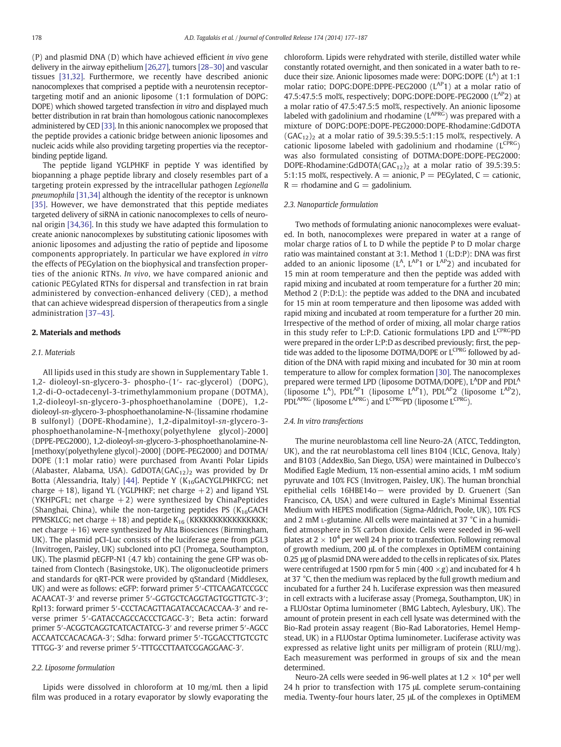(P) and plasmid DNA (D) which have achieved efficient in vivo gene delivery in the airway epithelium [\[26,27\]](#page-9-0), tumors [\[28](#page-9-0)–30] and vascular tissues [\[31,32\]](#page-10-0). Furthermore, we recently have described anionic nanocomplexes that comprised a peptide with a neurotensin receptortargeting motif and an anionic liposome (1:1 formulation of DOPG: DOPE) which showed targeted transfection in vitro and displayed much better distribution in rat brain than homologous cationic nanocomplexes administered by CED [\[33\].](#page-10-0) In this anionic nanocomplex we proposed that the peptide provides a cationic bridge between anionic liposomes and nucleic acids while also providing targeting properties via the receptorbinding peptide ligand.

The peptide ligand YGLPHKF in peptide Y was identified by biopanning a phage peptide library and closely resembles part of a targeting protein expressed by the intracellular pathogen Legionella pneumophila [\[31,34\]](#page-10-0) although the identity of the receptor is unknown [\[35\].](#page-10-0) However, we have demonstrated that this peptide mediates targeted delivery of siRNA in cationic nanocomplexes to cells of neuronal origin [\[34,36\].](#page-10-0) In this study we have adapted this formulation to create anionic nanocomplexes by substituting cationic liposomes with anionic liposomes and adjusting the ratio of peptide and liposome components appropriately. In particular we have explored in vitro the effects of PEGylation on the biophysical and transfection properties of the anionic RTNs. In vivo, we have compared anionic and cationic PEGylated RTNs for dispersal and transfection in rat brain administered by convection-enhanced delivery (CED), a method that can achieve widespread dispersion of therapeutics from a single administration [37–[43\].](#page-10-0)

# 2. Materials and methods

#### 2.1. Materials

All lipids used in this study are shown in Supplementary Table 1. 1,2- dioleoyl-sn-glycero-3- phospho-(1′- rac-glycerol) (DOPG), 1,2-di-O-octadecenyl-3-trimethylammonium propane (DOTMA), 1,2-dioleoyl-sn-glycero-3-phosphoethanolamine (DOPE), 1,2 dioleoyl-sn-glycero-3-phosphoethanolamine-N-(lissamine rhodamine B sulfonyl) (DOPE-Rhodamine), 1,2-dipalmitoyl-sn-glycero-3 phosphoethanolamine-N-[methoxy(polyethylene glycol)-2000] (DPPE-PEG2000), 1,2-dioleoyl-sn-glycero-3-phosphoethanolamine-N- [methoxy(polyethylene glycol)-2000] (DOPE-PEG2000) and DOTMA/ DOPE (1:1 molar ratio) were purchased from Avanti Polar Lipids (Alabaster, Alabama, USA). GdDOTA(GAC $_{12}$ )<sub>2</sub> was provided by Dr Botta (Alessandria, Italy) [\[44\].](#page-10-0) Peptide Y (K<sub>16</sub>GACYGLPHKFCG; net charge  $+18$ ), ligand YL (YGLPHKF; net charge  $+2$ ) and ligand YSL (YKHPGFL; net charge  $+2$ ) were synthesized by ChinaPeptides (Shanghai, China), while the non-targeting peptides PS ( $K_{16}GACH$ ) PPMSKLCG; net charge +18) and peptide K16 (KKKKKKKKKKKKKKKK; net charge +16) were synthesized by Alta Biosciences (Birmingham, UK). The plasmid pCI-Luc consists of the luciferase gene from pGL3 (Invitrogen, Paisley, UK) subcloned into pCI (Promega, Southampton, UK). The plasmid pEGFP-N1 (4.7 kb) containing the gene GFP was obtained from Clontech (Basingstoke, UK). The oligonucleotide primers and standards for qRT-PCR were provided by qStandard (Middlesex, UK) and were as follows: eGFP: forward primer 5′-CTTCAAGATCCGCC ACAACAT-3′ and reverse primer 5′-GGTGCTCAGGTAGTGGTTGTC-3′; Rpl13: forward primer 5′-CCCTACAGTTAGATACCACACCAA-3′ and reverse primer 5′-GATACCAGCCACCCTGAGC-3′; Beta actin: forward primer 5′-ACGGTCAGGTCATCACTATCG-3′ and reverse primer 5′-AGCC ACCAATCCACACAGA-3′; Sdha: forward primer 5′-TGGACCTTGTCGTC TTTGG-3′ and reverse primer 5′-TTTGCCTTAATCGGAGGAAC-3′.

# 2.2. Liposome formulation

Lipids were dissolved in chloroform at 10 mg/mL then a lipid film was produced in a rotary evaporator by slowly evaporating the chloroform. Lipids were rehydrated with sterile, distilled water while constantly rotated overnight, and then sonicated in a water bath to reduce their size. Anionic liposomes made were: DOPG:DOPE  $(L<sup>A</sup>)$  at 1:1 molar ratio; DOPG:DOPE:DPPE-PEG2000 (LAP1) at a molar ratio of 47.5:47.5:5 mol%, respectively; DOPG:DOPE:DOPE-PEG2000  $(L^{AP}2)$  at a molar ratio of 47.5:47.5:5 mol%, respectively. An anionic liposome labeled with gadolinium and rhodamine  $(L^{APRG})$  was prepared with a mixture of DOPG:DOPE:DOPE-PEG2000:DOPE-Rhodamine:GdDOTA  $(GAC<sub>12</sub>)<sub>2</sub>$  at a molar ratio of 39.5:39.5:5:1:15 mol%, respectively. A cationic liposome labeled with gadolinium and rhodamine  $(L^{CPRG})$ was also formulated consisting of DOTMA:DOPE:DOPE-PEG2000: DOPE-Rhodamine:GdDOTA(GAC<sub>12</sub>)<sub>2</sub> at a molar ratio of 39.5:39.5: 5:1:15 mol%, respectively.  $A = \text{anionic}$ ,  $P = \text{PEGylated}$ ,  $C = \text{cationic}$ ,  $R =$  rhodamine and  $G =$  gadolinium.

#### 2.3. Nanoparticle formulation

Two methods of formulating anionic nanocomplexes were evaluated. In both, nanocomplexes were prepared in water at a range of molar charge ratios of L to D while the peptide P to D molar charge ratio was maintained constant at 3:1. Method 1 (L:D:P): DNA was first added to an anionic liposome  $(L^A, L^{AP}1$  or  $L^{AP}2)$  and incubated for 15 min at room temperature and then the peptide was added with rapid mixing and incubated at room temperature for a further 20 min; Method 2 (P:D:L): the peptide was added to the DNA and incubated for 15 min at room temperature and then liposome was added with rapid mixing and incubated at room temperature for a further 20 min. Irrespective of the method of order of mixing, all molar charge ratios in this study refer to L:P:D. Cationic formulations LPD and LCPRGPD were prepared in the order L:P:D as described previously; first, the peptide was added to the liposome DOTMA/DOPE or LCPRG followed by addition of the DNA with rapid mixing and incubated for 30 min at room temperature to allow for complex formation [\[30\]](#page-10-0). The nanocomplexes prepared were termed LPD (liposome DOTMA/DOPE), L<sup>A</sup>DP and PDL<sup>A</sup> (liposome  $L^A$ ), PDL<sup>AP</sup>1 (liposome  $L^{AP}$ 1), PDL<sup>AP</sup>2 (liposome  $L^{AP}$ 2), PDL<sup>APRG</sup> (liposome L<sup>APRG</sup>) and L<sup>CPRG</sup>PD (liposome L<sup>CPRG</sup>).

# 2.4. In vitro transfections

The murine neuroblastoma cell line Neuro-2A (ATCC, Teddington, UK), and the rat neuroblastoma cell lines B104 (ICLC, Genova, Italy) and B103 (AddexBio, San Diego, USA) were maintained in Dulbecco's Modified Eagle Medium, 1% non-essential amino acids, 1 mM sodium pyruvate and 10% FCS (Invitrogen, Paisley, UK). The human bronchial epithelial cells 16HBE14o− were provided by D. Gruenert (San Francisco, CA, USA) and were cultured in Eagle's Minimal Essential Medium with HEPES modification (Sigma-Aldrich, Poole, UK), 10% FCS and 2 mM L-glutamine. All cells were maintained at 37 °C in a humidified atmosphere in 5% carbon dioxide. Cells were seeded in 96-well plates at  $2 \times 10^4$  per well 24 h prior to transfection. Following removal of growth medium, 200 μL of the complexes in OptiMEM containing 0.25 μg of plasmid DNA were added to the cells in replicates of six. Plates were centrifuged at 1500 rpm for 5 min (400  $\times$ g) and incubated for 4 h at 37 °C, then the medium was replaced by the full growth medium and incubated for a further 24 h. Luciferase expression was then measured in cell extracts with a luciferase assay (Promega, Southampton, UK) in a FLUOstar Optima luminometer (BMG Labtech, Aylesbury, UK). The amount of protein present in each cell lysate was determined with the Bio-Rad protein assay reagent (Bio-Rad Laboratories, Hemel Hempstead, UK) in a FLUOstar Optima luminometer. Luciferase activity was expressed as relative light units per milligram of protein (RLU/mg). Each measurement was performed in groups of six and the mean determined.

Neuro-2A cells were seeded in 96-well plates at  $1.2 \times 10^4$  per well 24 h prior to transfection with 175 μL complete serum-containing media. Twenty-four hours later, 25 μL of the complexes in OptiMEM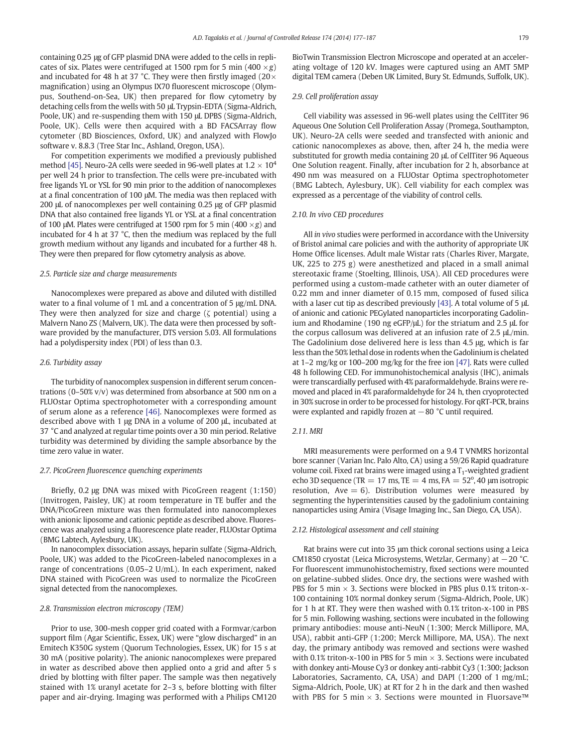containing 0.25 μg of GFP plasmid DNA were added to the cells in replicates of six. Plates were centrifuged at 1500 rpm for 5 min (400  $\times$  g) and incubated for 48 h at 37 °C. They were then firstly imaged (20 $\times$ magnification) using an Olympus IX70 fluorescent microscope (Olympus, Southend-on-Sea, UK) then prepared for flow cytometry by detaching cells from the wells with 50 μL Trypsin-EDTA (Sigma-Aldrich, Poole, UK) and re-suspending them with 150 μL DPBS (Sigma-Aldrich, Poole, UK). Cells were then acquired with a BD FACSArray flow cytometer (BD Biosciences, Oxford, UK) and analyzed with FlowJo software v. 8.8.3 (Tree Star Inc., Ashland, Oregon, USA).

For competition experiments we modified a previously published method [\[45\]](#page-10-0). Neuro-2A cells were seeded in 96-well plates at  $1.2 \times 10^4$ per well 24 h prior to transfection. The cells were pre-incubated with free ligands YL or YSL for 90 min prior to the addition of nanocomplexes at a final concentration of 100 μM. The media was then replaced with 200 μL of nanocomplexes per well containing 0.25 μg of GFP plasmid DNA that also contained free ligands YL or YSL at a final concentration of 100 μM. Plates were centrifuged at 1500 rpm for 5 min (400  $\times$  g) and incubated for 4 h at 37 °C, then the medium was replaced by the full growth medium without any ligands and incubated for a further 48 h. They were then prepared for flow cytometry analysis as above.

### 2.5. Particle size and charge measurements

Nanocomplexes were prepared as above and diluted with distilled water to a final volume of 1 mL and a concentration of 5 μg/mL DNA. They were then analyzed for size and charge  $(\zeta$  potential) using a Malvern Nano ZS (Malvern, UK). The data were then processed by software provided by the manufacturer, DTS version 5.03. All formulations had a polydispersity index (PDI) of less than 0.3.

#### 2.6. Turbidity assay

The turbidity of nanocomplex suspension in different serum concentrations (0–50% v/v) was determined from absorbance at 500 nm on a FLUOstar Optima spectrophotometer with a corresponding amount of serum alone as a reference [\[46\].](#page-10-0) Nanocomplexes were formed as described above with 1 μg DNA in a volume of 200 μL, incubated at 37 °C and analyzed at regular time points over a 30 min period. Relative turbidity was determined by dividing the sample absorbance by the time zero value in water.

# 2.7. PicoGreen fluorescence quenching experiments

Briefly, 0.2 μg DNA was mixed with PicoGreen reagent (1:150) (Invitrogen, Paisley, UK) at room temperature in TE buffer and the DNA/PicoGreen mixture was then formulated into nanocomplexes with anionic liposome and cationic peptide as described above. Fluorescence was analyzed using a fluorescence plate reader, FLUOstar Optima (BMG Labtech, Aylesbury, UK).

In nanocomplex dissociation assays, heparin sulfate (Sigma-Aldrich, Poole, UK) was added to the PicoGreen-labeled nanocomplexes in a range of concentrations (0.05–2 U/mL). In each experiment, naked DNA stained with PicoGreen was used to normalize the PicoGreen signal detected from the nanocomplexes.

# 2.8. Transmission electron microscopy (TEM)

Prior to use, 300-mesh copper grid coated with a Formvar/carbon support film (Agar Scientific, Essex, UK) were "glow discharged" in an Emitech K350G system (Quorum Technologies, Essex, UK) for 15 s at 30 mA (positive polarity). The anionic nanocomplexes were prepared in water as described above then applied onto a grid and after 5 s dried by blotting with filter paper. The sample was then negatively stained with 1% uranyl acetate for 2–3 s, before blotting with filter paper and air-drying. Imaging was performed with a Philips CM120 BioTwin Transmission Electron Microscope and operated at an accelerating voltage of 120 kV. Images were captured using an AMT 5MP digital TEM camera (Deben UK Limited, Bury St. Edmunds, Suffolk, UK).

### 2.9. Cell proliferation assay

Cell viability was assessed in 96-well plates using the CellTiter 96 Aqueous One Solution Cell Proliferation Assay (Promega, Southampton, UK). Neuro-2A cells were seeded and transfected with anionic and cationic nanocomplexes as above, then, after 24 h, the media were substituted for growth media containing 20 μL of CellTiter 96 Aqueous One Solution reagent. Finally, after incubation for 2 h, absorbance at 490 nm was measured on a FLUOstar Optima spectrophotometer (BMG Labtech, Aylesbury, UK). Cell viability for each complex was expressed as a percentage of the viability of control cells.

### 2.10. In vivo CED procedures

All in vivo studies were performed in accordance with the University of Bristol animal care policies and with the authority of appropriate UK Home Office licenses. Adult male Wistar rats (Charles River, Margate, UK, 225 to 275 g) were anesthetized and placed in a small animal stereotaxic frame (Stoelting, Illinois, USA). All CED procedures were performed using a custom-made catheter with an outer diameter of 0.22 mm and inner diameter of 0.15 mm, composed of fused silica with a laser cut tip as described previously [\[43\]](#page-10-0). A total volume of 5 μL of anionic and cationic PEGylated nanoparticles incorporating Gadolinium and Rhodamine (190 ng eGFP/μL) for the striatum and 2.5 μL for the corpus callosum was delivered at an infusion rate of 2.5 μL/min. The Gadolinium dose delivered here is less than 4.5 μg, which is far less than the 50% lethal dose in rodents when the Gadolinium is chelated at 1–2 mg/kg or 100–200 mg/kg for the free ion [\[47\].](#page-10-0) Rats were culled 48 h following CED. For immunohistochemical analysis (IHC), animals were transcardially perfused with 4% paraformaldehyde. Brains were removed and placed in 4% paraformaldehyde for 24 h, then cryoprotected in 30% sucrose in order to be processed for histology. For qRT-PCR, brains were explanted and rapidly frozen at −80 °C until required.

#### 2.11. MRI

MRI measurements were performed on a 9.4 T VNMRS horizontal bore scanner (Varian Inc. Palo Alto, CA) using a 59/26 Rapid quadrature volume coil. Fixed rat brains were imaged using a  $T_1$ -weighted gradient echo 3D sequence (TR = 17 ms, TE = 4 ms, FA =  $52^{\circ}$ , 40 µm isotropic resolution, Ave  $= 6$ ). Distribution volumes were measured by segmenting the hyperintensities caused by the gadolinium containing nanoparticles using Amira (Visage Imaging Inc., San Diego, CA, USA).

### 2.12. Histological assessment and cell staining

Rat brains were cut into 35 μm thick coronal sections using a Leica CM1850 cryostat (Leica Microsystems, Wetzlar, Germany) at −20 °C. For fluorescent immunohistochemistry, fixed sections were mounted on gelatine-subbed slides. Once dry, the sections were washed with PBS for 5 min  $\times$  3. Sections were blocked in PBS plus 0.1% triton-x-100 containing 10% normal donkey serum (Sigma-Aldrich, Poole, UK) for 1 h at RT. They were then washed with 0.1% triton-x-100 in PBS for 5 min. Following washing, sections were incubated in the following primary antibodies: mouse anti-NeuN (1:300; Merck Millipore, MA, USA), rabbit anti-GFP (1:200; Merck Millipore, MA, USA). The next day, the primary antibody was removed and sections were washed with 0.1% triton-x-100 in PBS for 5 min  $\times$  3. Sections were incubated with donkey anti-Mouse Cy3 or donkey anti-rabbit Cy3 (1:300; Jackson Laboratories, Sacramento, CA, USA) and DAPI (1:200 of 1 mg/mL; Sigma-Aldrich, Poole, UK) at RT for 2 h in the dark and then washed with PBS for 5 min  $\times$  3. Sections were mounted in Fluorsave<sup>™</sup>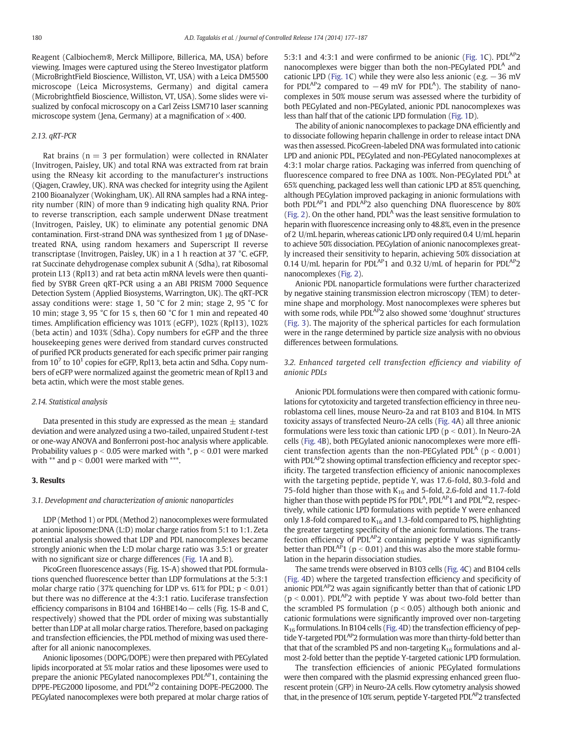Reagent (Calbiochem®, Merck Millipore, Billerica, MA, USA) before viewing. Images were captured using the Stereo Investigator platform (MicroBrightField Bioscience, Williston, VT, USA) with a Leica DM5500 microscope (Leica Microsystems, Germany) and digital camera (Microbrightfield Bioscience, Williston, VT, USA). Some slides were visualized by confocal microscopy on a Carl Zeiss LSM710 laser scanning microscope system (Jena, Germany) at a magnification of  $\times$ 400.

# 2.13. qRT-PCR

Rat brains ( $n = 3$  per formulation) were collected in RNAlater (Invitrogen, Paisley, UK) and total RNA was extracted from rat brain using the RNeasy kit according to the manufacturer's instructions (Qiagen, Crawley, UK). RNA was checked for integrity using the Agilent 2100 Bioanalyzer (Wokingham, UK). All RNA samples had a RNA integrity number (RIN) of more than 9 indicating high quality RNA. Prior to reverse transcription, each sample underwent DNase treatment (Invitrogen, Paisley, UK) to eliminate any potential genomic DNA contamination. First-strand DNA was synthesized from 1 μg of DNasetreated RNA, using random hexamers and Superscript II reverse transcriptase (Invitrogen, Paisley, UK) in a 1 h reaction at 37 °C. eGFP, rat Succinate dehydrogenase complex subunit A (Sdha), rat Ribosomal protein L13 (Rpl13) and rat beta actin mRNA levels were then quantified by SYBR Green qRT-PCR using a an ABI PRISM 7000 Sequence Detection System (Applied Biosystems, Warrington, UK). The qRT-PCR assay conditions were: stage 1, 50 °C for 2 min; stage 2, 95 °C for 10 min; stage 3, 95 °C for 15 s, then 60 °C for 1 min and repeated 40 times. Amplification efficiency was 101% (eGFP), 102% (Rpl13), 102% (beta actin) and 103% (Sdha). Copy numbers for eGFP and the three housekeeping genes were derived from standard curves constructed of purified PCR products generated for each specific primer pair ranging from  $10<sup>7</sup>$  to  $10<sup>1</sup>$  copies for eGFP, Rpl13, beta actin and Sdha. Copy numbers of eGFP were normalized against the geometric mean of Rpl13 and beta actin, which were the most stable genes.

### 2.14. Statistical analysis

Data presented in this study are expressed as the mean  $\pm$  standard deviation and were analyzed using a two-tailed, unpaired Student t-test or one-way ANOVA and Bonferroni post-hoc analysis where applicable. Probability values  $p < 0.05$  were marked with  $\gamma$ ,  $p < 0.01$  were marked with  $**$  and  $p < 0.001$  were marked with  $***$ .

# 3. Results

# 3.1. Development and characterization of anionic nanoparticles

LDP (Method 1) or PDL (Method 2) nanocomplexes were formulated at anionic liposome:DNA (L:D) molar charge ratios from 5:1 to 1:1. Zeta potential analysis showed that LDP and PDL nanocomplexes became strongly anionic when the L:D molar charge ratio was 3.5:1 or greater with no significant size or charge differences ([Fig. 1](#page-4-0)A and B).

PicoGreen fluorescence assays (Fig. 1S-A) showed that PDL formulations quenched fluorescence better than LDP formulations at the 5:3:1 molar charge ratio (37% quenching for LDP vs. 61% for PDL;  $p < 0.01$ ) but there was no difference at the 4:3:1 ratio. Luciferase transfection efficiency comparisons in B104 and 16HBE14o− cells (Fig. 1S-B and C, respectively) showed that the PDL order of mixing was substantially better than LDP at all molar charge ratios. Therefore, based on packaging and transfection efficiencies, the PDL method of mixing was used thereafter for all anionic nanocomplexes.

Anionic liposomes (DOPG/DOPE) were then prepared with PEGylated lipids incorporated at 5% molar ratios and these liposomes were used to prepare the anionic PEGylated nanocomplexes PDL<sup>AP</sup>1, containing the DPPE-PEG2000 liposome, and PDL<sup>AP</sup>2 containing DOPE-PEG2000. The PEGylated nanocomplexes were both prepared at molar charge ratios of 5:3:1 and 4:3:1 and were confirmed to be anionic [\(Fig. 1](#page-4-0)C).  $PDL^{AP}2$ nanocomplexes were bigger than both the non-PEGylated  $PDL<sup>A</sup>$  and cationic LPD ([Fig. 1C](#page-4-0)) while they were also less anionic (e.g.  $-36$  mV for PDL<sup>AP</sup>2 compared to  $-49$  mV for PDL<sup>A</sup>). The stability of nanocomplexes in 50% mouse serum was assessed where the turbidity of both PEGylated and non-PEGylated, anionic PDL nanocomplexes was less than half that of the cationic LPD formulation [\(Fig. 1D](#page-4-0)).

The ability of anionic nanocomplexes to package DNA efficiently and to dissociate following heparin challenge in order to release intact DNA was then assessed. PicoGreen-labeled DNA was formulated into cationic LPD and anionic PDL, PEGylated and non-PEGylated nanocomplexes at 4:3:1 molar charge ratios. Packaging was inferred from quenching of fluorescence compared to free DNA as 100%. Non-PEGylated PDL<sup>A</sup> at 65% quenching, packaged less well than cationic LPD at 85% quenching, although PEGylation improved packaging in anionic formulations with both PDL<sup>AP</sup>1 and PDL<sup>AP</sup>2 also quenching DNA fluorescence by 80% [\(Fig. 2](#page-4-0)). On the other hand,  $PDL<sup>A</sup>$  was the least sensitive formulation to heparin with fluorescence increasing only to 48.8%, even in the presence of 2 U/mL heparin, whereas cationic LPD only required 0.4 U/mL heparin to achieve 50% dissociation. PEGylation of anionic nanocomplexes greatly increased their sensitivity to heparin, achieving 50% dissociation at 0.14 U/mL heparin for PDL $^{AP}$ 1 and 0.32 U/mL of heparin for PDL $^{AP}$ 2 nanocomplexes [\(Fig. 2\)](#page-4-0).

Anionic PDL nanoparticle formulations were further characterized by negative staining transmission electron microscopy (TEM) to determine shape and morphology. Most nanocomplexes were spheres but with some rods, while PDLAP2 also showed some 'doughnut' structures [\(Fig. 3](#page-5-0)). The majority of the spherical particles for each formulation were in the range determined by particle size analysis with no obvious differences between formulations.

# 3.2. Enhanced targeted cell transfection efficiency and viability of anionic PDLs

Anionic PDL formulations were then compared with cationic formulations for cytotoxicity and targeted transfection efficiency in three neuroblastoma cell lines, mouse Neuro-2a and rat B103 and B104. In MTS toxicity assays of transfected Neuro-2A cells [\(Fig. 4](#page-6-0)A) all three anionic formulations were less toxic than cationic LPD ( $p < 0.01$ ). In Neuro-2A cells [\(Fig. 4B](#page-6-0)), both PEGylated anionic nanocomplexes were more efficient transfection agents than the non-PEGylated PDL<sup>A</sup> ( $p < 0.001$ ) with PDL<sup>AP</sup>2 showing optimal transfection efficiency and receptor specificity. The targeted transfection efficiency of anionic nanocomplexes with the targeting peptide, peptide Y, was 17.6-fold, 80.3-fold and 75-fold higher than those with  $K_{16}$  and 5-fold, 2.6-fold and 11.7-fold higher than those with peptide PS for PDL<sup>A</sup>, PDL<sup>AP</sup>1 and PDL<sup>AP</sup>2, respectively, while cationic LPD formulations with peptide Y were enhanced only 1.8-fold compared to  $K_{16}$  and 1.3-fold compared to PS, highlighting the greater targeting specificity of the anionic formulations. The transfection efficiency of PDL<sup>AP</sup>2 containing peptide Y was significantly better than PDL $^{\rm AP}$ 1 (p < 0.01) and this was also the more stable formulation in the heparin dissociation studies.

The same trends were observed in B103 cells [\(Fig. 4](#page-6-0)C) and B104 cells [\(Fig. 4D](#page-6-0)) where the targeted transfection efficiency and specificity of anionic PDL<sup>AP</sup>2 was again significantly better than that of cationic LPD ( $p < 0.001$ ). PDL<sup>AP</sup>2 with peptide Y was about two-fold better than the scrambled PS formulation ( $p < 0.05$ ) although both anionic and cationic formulations were significantly improved over non-targeting K<sub>16</sub> formulations. In B104 cells [\(Fig. 4D](#page-6-0)) the transfection efficiency of peptide Y-targeted PDL<sup>AP</sup>2 formulation was more than thirty-fold better than that that of the scrambled PS and non-targeting  $K_{16}$  formulations and almost 2-fold better than the peptide Y-targeted cationic LPD formulation.

The transfection efficiencies of anionic PEGylated formulations were then compared with the plasmid expressing enhanced green fluorescent protein (GFP) in Neuro-2A cells. Flow cytometry analysis showed that, in the presence of 10% serum, peptide Y-targeted PDL<sup>AP</sup>2 transfected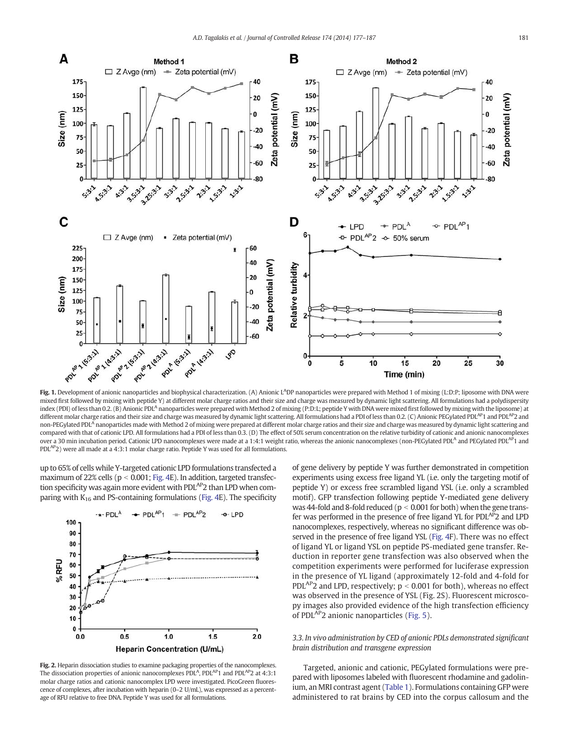<span id="page-4-0"></span>

Fig. 1. Development of anionic nanoparticles and biophysical characterization. (A) Anionic L<sup>A</sup>DP nanoparticles were prepared with Method 1 of mixing (L:D:P; liposome with DNA were mixed first followed by mixing with peptide Y) at different molar charge ratios and their size and charge was measured by dynamic light scattering. All formulations had a polydispersity index (PDI) of less than 0.2. (B) Anionic PDL<sup>A</sup> nanoparticles were prepared with Method 2 of mixing (P:D:L; peptide Y with DNA were mixed first followed by mixing with the liposome) at different molar charge ratios and their size and charge was measured by dynamic light scattering. All formulations had a PDI of less than 0.2. (C) Anionic PEGylated PDLAP1 and PDLAP2 and non-PEGylated PDL<sup>A</sup> nanoparticles made with Method 2 of mixing were prepared at different molar charge ratios and their size and charge was measured by dynamic light scattering and compared with that of cationic LPD. All formulations had a PDI of less than 0.3. (D) The effect of 50% serum concentration on the relative turbidity of cationic and anionic nanocomplexes over a 30 min incubation period. Cationic LPD nanocomplexes were made at a 1:4:1 weight ratio, whereas the anionic nanocomplexes (non-PEGylated PDL<sup>A</sup> and PEGylated PDL<sup>AP</sup>1 and PDL<sup>AP</sup>2) were all made at a 4:3:1 molar charge ratio. Peptide Y was used for all formulations.

up to 65% of cells while Y-targeted cationic LPD formulations transfected a maximum of 22% cells ( $p < 0.001$ ; [Fig. 4](#page-6-0)E). In addition, targeted transfection specificity was again more evident with PDL<sup>AP</sup>2 than LPD when comparing with  $K_{16}$  and PS-containing formulations [\(Fig. 4](#page-6-0)E). The specificity



Fig. 2. Heparin dissociation studies to examine packaging properties of the nanocomplexes. The dissociation properties of anionic nanocomplexes PDL<sup>A</sup>, PDL<sup>AP</sup>1 and PDL<sup>AP</sup>2 at 4:3:1 molar charge ratios and cationic nanocomplex LPD were investigated. PicoGreen fluorescence of complexes, after incubation with heparin (0–2 U/mL), was expressed as a percentage of RFU relative to free DNA. Peptide Y was used for all formulations.

of gene delivery by peptide Y was further demonstrated in competition experiments using excess free ligand YL (i.e. only the targeting motif of peptide Y) or excess free scrambled ligand YSL (i.e. only a scrambled motif). GFP transfection following peptide Y-mediated gene delivery was 44-fold and 8-fold reduced ( $p < 0.001$  for both) when the gene transfer was performed in the presence of free ligand YL for PDL<sup>AP</sup>2 and LPD nanocomplexes, respectively, whereas no significant difference was observed in the presence of free ligand YSL ([Fig. 4](#page-6-0)F). There was no effect of ligand YL or ligand YSL on peptide PS-mediated gene transfer. Reduction in reporter gene transfection was also observed when the competition experiments were performed for luciferase expression in the presence of YL ligand (approximately 12-fold and 4-fold for PDL<sup>AP</sup>2 and LPD, respectively;  $p < 0.001$  for both), whereas no effect was observed in the presence of YSL (Fig. 2S). Fluorescent microscopy images also provided evidence of the high transfection efficiency of PDLAP2 anionic nanoparticles ([Fig. 5](#page-7-0)).

# 3.3. In vivo administration by CED of anionic PDLs demonstrated significant brain distribution and transgene expression

Targeted, anionic and cationic, PEGylated formulations were prepared with liposomes labeled with fluorescent rhodamine and gadolinium, an MRI contrast agent [\(Table 1](#page-7-0)). Formulations containing GFP were administered to rat brains by CED into the corpus callosum and the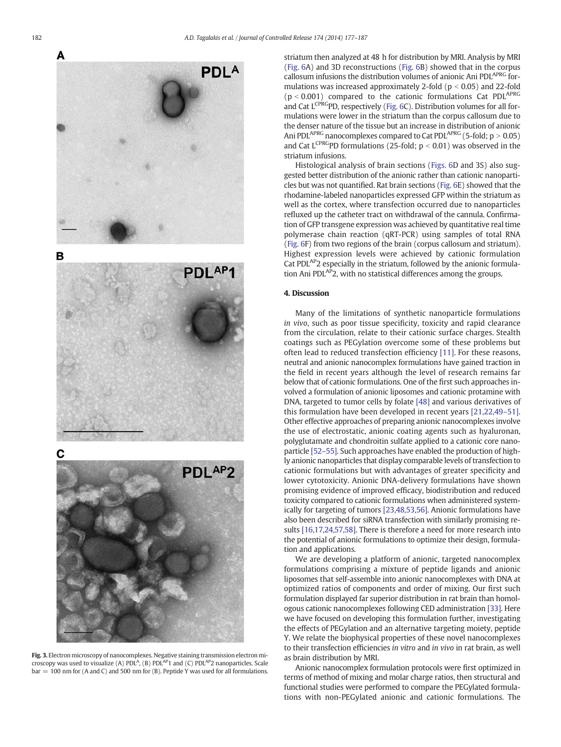<span id="page-5-0"></span>

в





Fig. 3. Electron microscopy of nanocomplexes. Negative staining transmission electron microscopy was used to visualize (A) PDL<sup>A</sup>, (B) PDL<sup>AP</sup>1 and (C) PDL<sup>AP</sup>2 nanoparticles. Scale  $bar = 100$  nm for (A and C) and 500 nm for (B). Peptide Y was used for all formulations.

striatum then analyzed at 48 h for distribution by MRI. Analysis by MRI [\(Fig. 6A](#page-8-0)) and 3D reconstructions ([Fig. 6](#page-8-0)B) showed that in the corpus callosum infusions the distribution volumes of anionic Ani PDL<sup>APRG</sup> formulations was increased approximately 2-fold ( $p < 0.05$ ) and 22-fold  $(p < 0.001)$  compared to the cationic formulations Cat PDL<sup>APRG</sup> and Cat L<sup>CPRG</sup>PD, respectively [\(Fig. 6C](#page-8-0)). Distribution volumes for all formulations were lower in the striatum than the corpus callosum due to the denser nature of the tissue but an increase in distribution of anionic Ani PDL<sup>APRG</sup> nanocomplexes compared to Cat PDL<sup>APRG</sup> (5-fold;  $p > 0.05$ ) and Cat  $L^{CPRG}$ PD formulations (25-fold;  $p < 0.01$ ) was observed in the striatum infusions.

Histological analysis of brain sections ([Figs. 6](#page-8-0)D and 3S) also suggested better distribution of the anionic rather than cationic nanoparticles but was not quantified. Rat brain sections [\(Fig. 6E](#page-8-0)) showed that the rhodamine-labeled nanoparticles expressed GFP within the striatum as well as the cortex, where transfection occurred due to nanoparticles refluxed up the catheter tract on withdrawal of the cannula. Confirmation of GFP transgene expression was achieved by quantitative real time polymerase chain reaction (qRT-PCR) using samples of total RNA [\(Fig. 6F](#page-8-0)) from two regions of the brain (corpus callosum and striatum). Highest expression levels were achieved by cationic formulation Cat PDLAP2 especially in the striatum, followed by the anionic formulation Ani PDL<sup>AP</sup>2, with no statistical differences among the groups.

# 4. Discussion

Many of the limitations of synthetic nanoparticle formulations in vivo, such as poor tissue specificity, toxicity and rapid clearance from the circulation, relate to their cationic surface charges. Stealth coatings such as PEGylation overcome some of these problems but often lead to reduced transfection efficiency [\[11\]](#page-9-0). For these reasons, neutral and anionic nanocomplex formulations have gained traction in the field in recent years although the level of research remains far below that of cationic formulations. One of the first such approaches involved a formulation of anionic liposomes and cationic protamine with DNA, targeted to tumor cells by folate [\[48\]](#page-10-0) and various derivatives of this formulation have been developed in recent years [\[21,22,49](#page-9-0)–51]. Other effective approaches of preparing anionic nanocomplexes involve the use of electrostatic, anionic coating agents such as hyaluronan, polyglutamate and chondroitin sulfate applied to a cationic core nanoparticle [52–[55\].](#page-10-0) Such approaches have enabled the production of highly anionic nanoparticles that display comparable levels of transfection to cationic formulations but with advantages of greater specificity and lower cytotoxicity. Anionic DNA-delivery formulations have shown promising evidence of improved efficacy, biodistribution and reduced toxicity compared to cationic formulations when administered systemically for targeting of tumors [\[23,48,53,56\].](#page-9-0) Anionic formulations have also been described for siRNA transfection with similarly promising results [\[16,17,24,57,58\].](#page-9-0) There is therefore a need for more research into the potential of anionic formulations to optimize their design, formulation and applications.

We are developing a platform of anionic, targeted nanocomplex formulations comprising a mixture of peptide ligands and anionic liposomes that self-assemble into anionic nanocomplexes with DNA at optimized ratios of components and order of mixing. Our first such formulation displayed far superior distribution in rat brain than homologous cationic nanocomplexes following CED administration [\[33\]](#page-10-0). Here we have focused on developing this formulation further, investigating the effects of PEGylation and an alternative targeting moiety, peptide Y. We relate the biophysical properties of these novel nanocomplexes to their transfection efficiencies in vitro and in vivo in rat brain, as well as brain distribution by MRI.

Anionic nanocomplex formulation protocols were first optimized in terms of method of mixing and molar charge ratios, then structural and functional studies were performed to compare the PEGylated formulations with non-PEGylated anionic and cationic formulations. The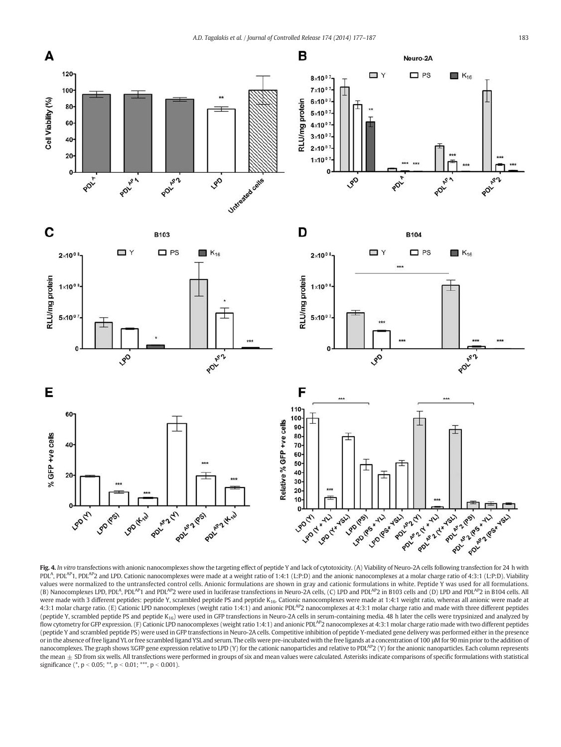<span id="page-6-0"></span>



Fig. 4. In vitro transfections with anionic nanocomplexes show the targeting effect of peptide Y and lack of cytotoxicity. (A) Viability of Neuro-2A cells following transfection for 24 h with PDL<sup>A</sup>, PDL<sup>AP</sup>1, PDL<sup>AP</sup>2 and LPD. Cationic nanocomplexes were made at a weight ratio of 1:4:1 (L:P:D) and the anionic nanocomplexes at a molar charge ratio of 4:3:1 (L:P:D). Viability values were normalized to the untransfected control cells. Anionic formulations are shown in gray and cationic formulations in white. Peptide Y was used for all formulations. (B) Nanocomplexes LPD, PDL<sup>A,</sup> PDL<sup>AP</sup>1 and PDL<sup>AP</sup>2 were used in luciferase transfections in Neuro-2A cells, (C) LPD and PDL<sup>AP</sup>2 in B103 cells and (D) LPD and PDL<sup>AP</sup>2 in B104 cells. All were made with 3 different peptides: peptide Y, scrambled peptide PS and peptide K<sub>16</sub>. Cationic nanocomplexes were made at 1:4:1 weight ratio, whereas all anionic were made at 4:3:1 molar charge ratio. (E) Cationic LPD nanocomplexes (weight ratio 1:4:1) and anionic PDLAP2 nanocomplexes at 4:3:1 molar charge ratio and made with three different peptides (peptide Y, scrambled peptide PS and peptide K<sub>16</sub>) were used in GFP transfections in Neuro-2A cells in serum-containing media. 48 h later the cells were trypsinized and analyzed by flow cytometry for GFP expression. (F) Cationic LPD nanocomplexes (weight ratio 1:4:1) and anionic PDLAP2 nanocomplexes at 4:3:1 molar charge ratio made with two different peptides (peptide Y and scrambled peptide PS) were used in GFP transfections in Neuro-2A cells. Competitive inhibition of peptide Y-mediated gene delivery was performed either in the presence or in the absence of free ligand YL or free scrambled ligand YSL and serum. The cells were pre-incubated with the free ligands at a concentration of 100 μM for 90 min prior to the addition of nanocomplexes. The graph shows %GFP gene expression relative to LPD (Y) for the cationic nanoparticles and relative to PDL<sup>AP</sup>2 (Y) for the anionic nanoparticles. Each column represents the mean  $\pm$  SD from six wells. All transfections were performed in groups of six and mean values were calculated. Asterisks indicate comparisons of specific formulations with statistical significance (\*, p < 0.05; \*\*, p < 0.01; \*\*\*, p < 0.001).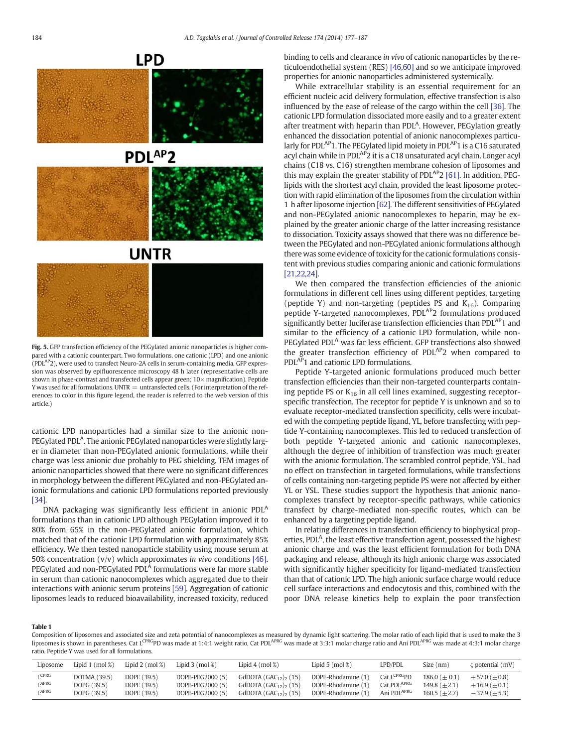<span id="page-7-0"></span>

Fig. 5. GFP transfection efficiency of the PEGylated anionic nanoparticles is higher compared with a cationic counterpart. Two formulations, one cationic (LPD) and one anionic (PDLAP2), were used to transfect Neuro-2A cells in serum-containing media. GFP expression was observed by epifluorescence microscopy 48 h later (representative cells are shown in phase-contrast and transfected cells appear green;  $10 \times$  magnification). Peptide Y was used for all formulations. UNTR  $=$  untransfected cells. (For interpretation of the references to color in this figure legend, the reader is referred to the web version of this article.)

cationic LPD nanoparticles had a similar size to the anionic non-PEGylated PDL<sup>A</sup>. The anionic PEGylated nanoparticles were slightly larger in diameter than non-PEGylated anionic formulations, while their charge was less anionic due probably to PEG shielding. TEM images of anionic nanoparticles showed that there were no significant differences in morphology between the different PEGylated and non-PEGylated anionic formulations and cationic LPD formulations reported previously [\[34\]](#page-10-0).

DNA packaging was significantly less efficient in anionic PDL<sup>A</sup> formulations than in cationic LPD although PEGylation improved it to 80% from 65% in the non-PEGylated anionic formulation, which matched that of the cationic LPD formulation with approximately 85% efficiency. We then tested nanoparticle stability using mouse serum at 50% concentration  $(v/v)$  which approximates in vivo conditions [\[46\].](#page-10-0) PEGylated and non-PEGylated PDL<sup>A</sup> formulations were far more stable in serum than cationic nanocomplexes which aggregated due to their interactions with anionic serum proteins [\[59\].](#page-10-0) Aggregation of cationic liposomes leads to reduced bioavailability, increased toxicity, reduced binding to cells and clearance in vivo of cationic nanoparticles by the reticuloendothelial system (RES) [\[46,60\]](#page-10-0) and so we anticipate improved properties for anionic nanoparticles administered systemically.

While extracellular stability is an essential requirement for an efficient nucleic acid delivery formulation, effective transfection is also influenced by the ease of release of the cargo within the cell [\[36\]](#page-10-0). The cationic LPD formulation dissociated more easily and to a greater extent after treatment with heparin than PDL<sup>A</sup>. However, PEGylation greatly enhanced the dissociation potential of anionic nanocomplexes particularly for PDL $^{AP}$ 1. The PEGylated lipid moiety in PDL $^{AP}$ 1 is a C16 saturated acyl chain while in PDL<sup>AP</sup>2 it is a C18 unsaturated acyl chain. Longer acyl chains (C18 vs. C16) strengthen membrane cohesion of liposomes and this may explain the greater stability of PDL $^{AP}$ 2 [\[61\].](#page-10-0) In addition, PEGlipids with the shortest acyl chain, provided the least liposome protection with rapid elimination of the liposomes from the circulation within 1 h after liposome injection [\[62\]](#page-10-0). The different sensitivities of PEGylated and non-PEGylated anionic nanocomplexes to heparin, may be explained by the greater anionic charge of the latter increasing resistance to dissociation. Toxicity assays showed that there was no difference between the PEGylated and non-PEGylated anionic formulations although there was some evidence of toxicity for the cationic formulations consistent with previous studies comparing anionic and cationic formulations [\[21,22,24\]](#page-9-0).

We then compared the transfection efficiencies of the anionic formulations in different cell lines using different peptides, targeting (peptide Y) and non-targeting (peptides PS and  $K_{16}$ ). Comparing peptide Y-targeted nanocomplexes, PDLAP2 formulations produced significantly better luciferase transfection efficiencies than PDL<sup>AP</sup>1 and similar to the efficiency of a cationic LPD formulation, while non-PEGylated PDL<sup>A</sup> was far less efficient. GFP transfections also showed the greater transfection efficiency of PDL<sup>AP</sup>2 when compared to PDL<sup>AP</sup>1 and cationic LPD formulations.

Peptide Y-targeted anionic formulations produced much better transfection efficiencies than their non-targeted counterparts containing peptide PS or  $K_{16}$  in all cell lines examined, suggesting receptorspecific transfection. The receptor for peptide Y is unknown and so to evaluate receptor-mediated transfection specificity, cells were incubated with the competing peptide ligand, YL, before transfecting with peptide Y-containing nanocomplexes. This led to reduced transfection of both peptide Y-targeted anionic and cationic nanocomplexes, although the degree of inhibition of transfection was much greater with the anionic formulation. The scrambled control peptide, YSL, had no effect on transfection in targeted formulations, while transfections of cells containing non-targeting peptide PS were not affected by either YL or YSL. These studies support the hypothesis that anionic nanocomplexes transfect by receptor-specific pathways, while cationics transfect by charge-mediated non-specific routes, which can be enhanced by a targeting peptide ligand.

In relating differences in transfection efficiency to biophysical properties, PDL<sup>A</sup>, the least effective transfection agent, possessed the highest anionic charge and was the least efficient formulation for both DNA packaging and release, although its high anionic charge was associated with significantly higher specificity for ligand-mediated transfection than that of cationic LPD. The high anionic surface charge would reduce cell surface interactions and endocytosis and this, combined with the poor DNA release kinetics help to explain the poor transfection

#### Table 1

Composition of liposomes and associated size and zeta potential of nanocomplexes as measured by dynamic light scattering. The molar ratio of each lipid that is used to make the 3 liposomes is shown in parentheses. Cat L<sup>CPRG</sup>PD was made at 1:4:1 weight ratio, Cat PDL<sup>APRG</sup> was made at 3:3:1 molar charge ratio and Ani PDL<sup>APRG</sup> was made at 4:3:1 molar charge ratio. Peptide Y was used for all formulations.

| Liposome | Lipid $1 \pmod{8}$ | Lipid $2 \pmod{8}$ | Lipid $3 \pmod{8}$ | Lipid $4 \pmod{8}$           | Lipid $5 \pmod{8}$ | LPD/PDL                  | Size (nm)         | ( potential (mV)    |
|----------|--------------------|--------------------|--------------------|------------------------------|--------------------|--------------------------|-------------------|---------------------|
| I CPRG   | DOTMA (39.5)       | DOPE (39.5)        | DOPE-PEG2000 (5)   | GdDOTA $(GAC_{12})_{2}$ (15) | DOPE-Rhodamine (1) | Cat L <sup>CPRG</sup> PD | $186.0 (+ 0.1)$   | $+57.0 (+0.8)$      |
| I APRG   | DOPG (39.5)        | DOPE (39.5)        | DOPE-PEG2000 (5)   | GdDOTA $(GAC_{12})_{2}$ (15) | DOPE-Rhodamine (1) | Cat PDL <sup>APRG</sup>  | $149.8 (+2.1)$    | $+16.9 \ (\pm 0.1)$ |
| I APRG   | DOPG (39.5)        | DOPE (39.5)        | DOPE-PEG2000 (5)   | GdDOTA $(GAC_{12})_{2}$ (15) | DOPE-Rhodamine (1) | Ani PDL <sup>APRG</sup>  | 160.5 $(\pm 2.7)$ | $-37.9(+5.3)$       |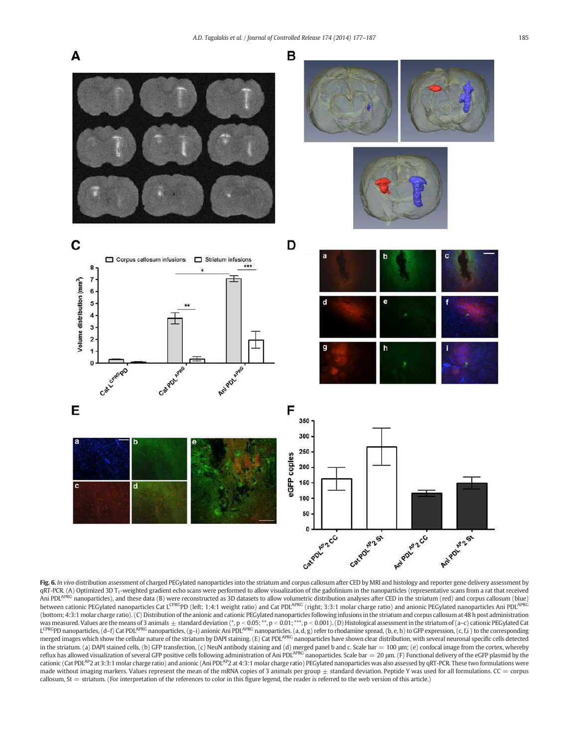<span id="page-8-0"></span>

Fig. 6. In vivo distribution assessment of charged PEGylated nanoparticles into the striatum and corpus callosum after CED by MRI and histology and reporter gene delivery assessment by qRT-PCR. (A) Optimized 3D T1-weighted gradient echo scans were performed to allow visualization of the gadolinium in the nanoparticles (representative scans from a rat that received Ani PDL<sup>APRG</sup> nanoparticles), and these data (B) were reconstructed as 3D datasets to allow volumetric distribution analyses after CED in the striatum (red) and corpus callosum (blue) between cationic PEGylated nanoparticles Cat L<sup>CPRG</sup>PD (left; 1:4:1 weight ratio) and Cat PDL<sup>APRG</sup> (right; 3:3:1 molar charge ratio) and anionic PEGylated nanoparticles Ani PDL<sup>APRG</sup> (bottom; 4:3:1 molar charge ratio). (C) Distribution of the anionic and cationic PEGylated nanoparticles following infusions in the striatum and corpus callosum at 48 h post administration was measured. Values are the means of 3 animals  $\pm$  standard deviation (\*, p < 0.05; \*\*, p < 0.01; \*\*\*, p < 0.001). (D) Histological assessment in the striatum of (a-c) cationic PEGylated Cat  $\mathsf{L^{CRGPD}}$  nanoparticles, (d–f) Cat PDL<sup>APRG</sup> nanoparticles, (g–i) anionic Ani PDL<sup>APRG</sup> nanoparticles. (a, d, g) refer to rhodamine spread, (b, e, h) to GFP expression, (c, f,i ) to the corresponding merged images which show the cellular nature of the striatum by DAPI staining. (E) Cat PDL<sup>APRG</sup> nanoparticles have shown clear distribution, with several neuronal specific cells detected in the striatum. (a) DAPI stained cells, (b) GFP transfection, (c) NeuN antibody staining and (d) merged panel b and c. Scale bar = 100 μm; (e) confocal image from the cortex, whereby reflux has allowed visualization of several GFP positive cells following administration of Ani PDL<sup>APRG</sup> nanoparticles. Scale bar = 20 μm. (F) Functional delivery of the eGFP plasmid by the cationic (Cat PDL<sup>AP</sup>2 at 3:3:1 molar charge ratio) and anionic (Ani PDL<sup>AP</sup>2 at 4:3:1 molar charge ratio) PEGylated nanoparticles was also assessed by qRT-PCR. These two formulations were made without imaging markers. Values represent the mean of the mRNA copies of 3 animals per group  $\pm$  standard deviation. Peptide Y was used for all formulations. CC = corpus callosum, St = striatum. (For interpretation of the references to color in this figure legend, the reader is referred to the web version of this article.)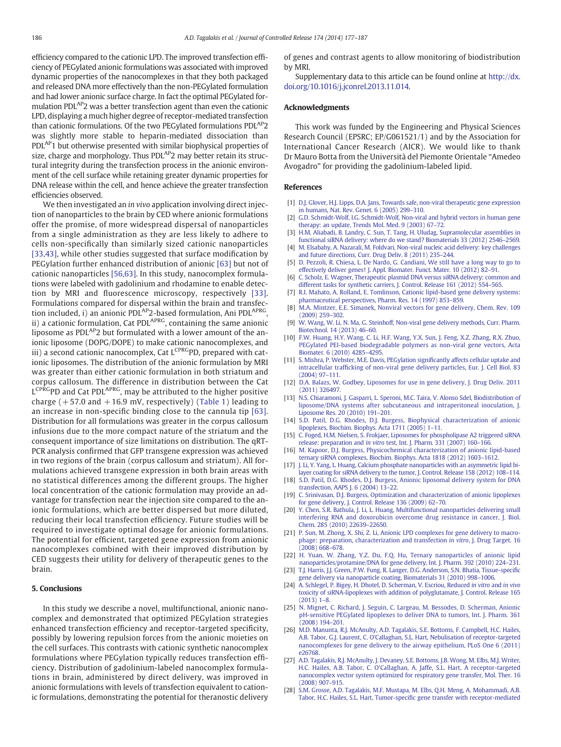<span id="page-9-0"></span>efficiency compared to the cationic LPD. The improved transfection efficiency of PEGylated anionic formulations was associated with improved dynamic properties of the nanocomplexes in that they both packaged and released DNA more effectively than the non-PEGylated formulation and had lower anionic surface charge. In fact the optimal PEGylated formulation PDL<sup>AP</sup>2 was a better transfection agent than even the cationic LPD, displaying a much higher degree of receptor-mediated transfection than cationic formulations. Of the two PEGylated formulations PDL<sup>AP</sup>2 was slightly more stable to heparin-mediated dissociation than PDL<sup>AP</sup>1 but otherwise presented with similar biophysical properties of size, charge and morphology. Thus  $PDL^{AP}2$  may better retain its structural integrity during the transfection process in the anionic environment of the cell surface while retaining greater dynamic properties for DNA release within the cell, and hence achieve the greater transfection efficiencies observed.

We then investigated an in vivo application involving direct injection of nanoparticles to the brain by CED where anionic formulations offer the promise, of more widespread dispersal of nanoparticles from a single administration as they are less likely to adhere to cells non-specifically than similarly sized cationic nanoparticles [\[33,43\]](#page-10-0), while other studies suggested that surface modification by PEGylation further enhanced distribution of anionic [\[63\]](#page-10-0) but not of cationic nanoparticles [\[56,63\].](#page-10-0) In this study, nanocomplex formulations were labeled with gadolinium and rhodamine to enable detection by MRI and fluorescence microscopy, respectively [\[33\].](#page-10-0) Formulations compared for dispersal within the brain and transfection included, i) an anionic PDL<sup>AP</sup>2-based formulation, Ani PDL<sup>APRG</sup>, ii) a cationic formulation, Cat PDL<sup>APRG</sup>, containing the same anionic liposome as PDL<sup>AP</sup>2 but formulated with a lower amount of the anionic liposome (DOPG/DOPE) to make cationic nanocomplexes, and iii) a second cationic nanocomplex, Cat L<sup>CPRG</sup>PD, prepared with cationic liposomes. The distribution of the anionic formulation by MRI was greater than either cationic formulation in both striatum and corpus callosum. The difference in distribution between the Cat LCPRGPD and Cat PDL<sup>APRG</sup>, may be attributed to the higher positive charge  $(+57.0$  and  $+16.9$  mV, respectively) ([Table 1](#page-7-0)) leading to an increase in non-specific binding close to the cannula tip [\[63\].](#page-10-0) Distribution for all formulations was greater in the corpus callosum infusions due to the more compact nature of the striatum and the consequent importance of size limitations on distribution. The qRT-PCR analysis confirmed that GFP transgene expression was achieved in two regions of the brain (corpus callosum and striatum). All formulations achieved transgene expression in both brain areas with no statistical differences among the different groups. The higher local concentration of the cationic formulation may provide an advantage for transfection near the injection site compared to the anionic formulations, which are better dispersed but more diluted, reducing their local transfection efficiency. Future studies will be required to investigate optimal dosage for anionic formulations. The potential for efficient, targeted gene expression from anionic nanocomplexes combined with their improved distribution by CED suggests their utility for delivery of therapeutic genes to the brain.

#### 5. Conclusions

In this study we describe a novel, multifunctional, anionic nanocomplex and demonstrated that optimized PEGylation strategies enhanced transfection efficiency and receptor-targeted specificity, possibly by lowering repulsion forces from the anionic moieties on the cell surfaces. This contrasts with cationic synthetic nanocomplex formulations where PEGylation typically reduces transfection efficiency. Distribution of gadolinium-labeled nanocomplex formulations in brain, administered by direct delivery, was improved in anionic formulations with levels of transfection equivalent to cationic formulations, demonstrating the potential for theranostic delivery

of genes and contrast agents to allow monitoring of biodistribution by MRI.

Supplementary data to this article can be found online at [http://dx.](http://dx.doi.org/10.1016/j.jconrel.2013.11.014) [doi.org/10.1016/j.jconrel.2013.11.014](http://dx.doi.org/10.1016/j.jconrel.2013.11.014).

### Acknowledgments

This work was funded by the Engineering and Physical Sciences Research Council (EPSRC; EP/G061521/1) and by the Association for International Cancer Research (AICR). We would like to thank Dr Mauro Botta from the Università del Piemonte Orientale "Amedeo Avogadro" for providing the gadolinium-labeled lipid.

# References

- [1] [D.J. Glover, H.J. Lipps, D.A. Jans, Towards safe, non-viral therapeutic gene expression](http://refhub.elsevier.com/S0168-3659(13)00903-6/rf0005) [in humans, Nat. Rev. Genet. 6 \(2005\) 299](http://refhub.elsevier.com/S0168-3659(13)00903-6/rf0005)–310.
- [2] [G.D. Schmidt-Wolf, I.G. Schmidt-Wolf, Non-viral and hybrid vectors in human gene](http://refhub.elsevier.com/S0168-3659(13)00903-6/rf0010) [therapy: an update, Trends Mol. Med. 9 \(2003\) 67](http://refhub.elsevier.com/S0168-3659(13)00903-6/rf0010)–72.
- [3] [H.M. Aliabadi, B. Landry, C. Sun, T. Tang, H. Uludag, Supramolecular assemblies in](http://refhub.elsevier.com/S0168-3659(13)00903-6/rf0015) [functional siRNA delivery: where do we stand? Biomaterials 33 \(2012\) 2546](http://refhub.elsevier.com/S0168-3659(13)00903-6/rf0015)–2569.
- [4] [M. Elsabahy, A. Nazarali, M. Foldvari, Non-viral nucleic acid delivery: key challenges](http://refhub.elsevier.com/S0168-3659(13)00903-6/rf0020) [and future directions, Curr. Drug Deliv. 8 \(2011\) 235](http://refhub.elsevier.com/S0168-3659(13)00903-6/rf0020)–244.
- [5] [D. Pezzoli, R. Chiesa, L. De Nardo, G. Candiani, We still have a long way to go to](http://refhub.elsevier.com/S0168-3659(13)00903-6/rf0025) [effectively deliver genes! J. Appl. Biomater. Funct. Mater. 10 \(2012\) 82](http://refhub.elsevier.com/S0168-3659(13)00903-6/rf0025)–91.
- [6] [C. Scholz, E. Wagner, Therapeutic plasmid DNA versus siRNA delivery: common and](http://refhub.elsevier.com/S0168-3659(13)00903-6/rf0030) [different tasks for synthetic carriers, J. Control. Release 161 \(2012\) 554](http://refhub.elsevier.com/S0168-3659(13)00903-6/rf0030)–565.
- [7] [R.I. Mahato, A. Rolland, E. Tomlinson, Cationic lipid-based gene delivery systems:](http://refhub.elsevier.com/S0168-3659(13)00903-6/rf0035) [pharmaceutical perspectives, Pharm. Res. 14 \(1997\) 853](http://refhub.elsevier.com/S0168-3659(13)00903-6/rf0035)–859.
- [8] [M.A. Mintzer, E.E. Simanek, Nonviral vectors for gene delivery, Chem. Rev. 109](http://refhub.elsevier.com/S0168-3659(13)00903-6/rf0040) [\(2009\) 259](http://refhub.elsevier.com/S0168-3659(13)00903-6/rf0040)–302.
- [9] [W. Wang, W. Li, N. Ma, G. Steinhoff, Non-viral gene delivery methods, Curr. Pharm.](http://refhub.elsevier.com/S0168-3659(13)00903-6/rf0045) [Biotechnol. 14 \(2013\) 46](http://refhub.elsevier.com/S0168-3659(13)00903-6/rf0045)–60.
- [10] [F.W. Huang, H.Y. Wang, C. Li, H.F. Wang, Y.X. Sun, J. Feng, X.Z. Zhang, R.X. Zhuo,](http://refhub.elsevier.com/S0168-3659(13)00903-6/rf0050) [PEGylated PEI-based biodegradable polymers as non-viral gene vectors, Acta](http://refhub.elsevier.com/S0168-3659(13)00903-6/rf0050) [Biomater. 6 \(2010\) 4285](http://refhub.elsevier.com/S0168-3659(13)00903-6/rf0050)–4295.
- [11] [S. Mishra, P. Webster, M.E. Davis, PEGylation signi](http://refhub.elsevier.com/S0168-3659(13)00903-6/rf0055)ficantly affects cellular uptake and intracellular traffi[cking of non-viral gene delivery particles, Eur. J. Cell Biol. 83](http://refhub.elsevier.com/S0168-3659(13)00903-6/rf0055) [\(2004\) 97](http://refhub.elsevier.com/S0168-3659(13)00903-6/rf0055)–111.
- [12] [D.A. Balazs, W. Godbey, Liposomes for use in gene delivery, J. Drug Deliv. 2011](http://refhub.elsevier.com/S0168-3659(13)00903-6/rf0060) [\(2011\) 326497.](http://refhub.elsevier.com/S0168-3659(13)00903-6/rf0060)
- [13] [N.S. Chiaramoni, J. Gasparri, L. Speroni, M.C. Taira, V. Alonso Sdel, Biodistribution of](http://refhub.elsevier.com/S0168-3659(13)00903-6/rf0065) [liposome/DNA systems after subcutaneous and intraperitoneal inoculation, J.](http://refhub.elsevier.com/S0168-3659(13)00903-6/rf0065) [Liposome Res. 20 \(2010\) 191](http://refhub.elsevier.com/S0168-3659(13)00903-6/rf0065)–201.
- [14] [S.D. Patil, D.G. Rhodes, D.J. Burgess, Biophysical characterization of anionic](http://refhub.elsevier.com/S0168-3659(13)00903-6/rf0070) [lipoplexes, Biochim. Biophys. Acta 1711 \(2005\) 1](http://refhub.elsevier.com/S0168-3659(13)00903-6/rf0070)–11.
- [15] [C. Foged, H.M. Nielsen, S. Frokjaer, Liposomes for phospholipase A2 triggered siRNA](http://refhub.elsevier.com/S0168-3659(13)00903-6/rf0075) release: preparation and in vitro [test, Int. J. Pharm. 331 \(2007\) 160](http://refhub.elsevier.com/S0168-3659(13)00903-6/rf0075)-166
- [16] [M. Kapoor, D.J. Burgess, Physicochemical characterization of anionic lipid-based](http://refhub.elsevier.com/S0168-3659(13)00903-6/rf0080) [ternary siRNA complexes, Biochim. Biophys. Acta 1818 \(2012\) 1603](http://refhub.elsevier.com/S0168-3659(13)00903-6/rf0080)–1612.
- [17] [J. Li, Y. Yang, L. Huang, Calcium phosphate nanoparticles with an asymmetric lipid bi](http://refhub.elsevier.com/S0168-3659(13)00903-6/rf0085)[layer coating for siRNA delivery to the tumor, J. Control. Release 158 \(2012\) 108](http://refhub.elsevier.com/S0168-3659(13)00903-6/rf0085)–114.
- [18] [S.D. Patil, D.G. Rhodes, D.J. Burgess, Anionic liposomal delivery system for DNA](http://refhub.elsevier.com/S0168-3659(13)00903-6/rf0090) [transfection, AAPS J. 6 \(2004\) 13](http://refhub.elsevier.com/S0168-3659(13)00903-6/rf0090)–22.
- [19] [C. Srinivasan, D.J. Burgess, Optimization and characterization of anionic lipoplexes](http://refhub.elsevier.com/S0168-3659(13)00903-6/rf0095) [for gene delivery, J. Control. Release 136 \(2009\) 62](http://refhub.elsevier.com/S0168-3659(13)00903-6/rf0095)–70.
- [20] [Y. Chen, S.R. Bathula, J. Li, L. Huang, Multifunctional nanoparticles delivering small](http://refhub.elsevier.com/S0168-3659(13)00903-6/rf0100) [interfering RNA and doxorubicin overcome drug resistance in cancer, J. Biol.](http://refhub.elsevier.com/S0168-3659(13)00903-6/rf0100) [Chem. 285 \(2010\) 22639](http://refhub.elsevier.com/S0168-3659(13)00903-6/rf0100)–22650.
- [21] [P. Sun, M. Zhong, X. Shi, Z. Li, Anionic LPD complexes for gene delivery to macro](http://refhub.elsevier.com/S0168-3659(13)00903-6/rf0105)[phage: preparation, characterization and transfection](http://refhub.elsevier.com/S0168-3659(13)00903-6/rf0105) in vitro, J. Drug Target. 16 [\(2008\) 668](http://refhub.elsevier.com/S0168-3659(13)00903-6/rf0105)–678.
- [22] [H. Yuan, W. Zhang, Y.Z. Du, F.Q. Hu, Ternary nanoparticles of anionic lipid](http://refhub.elsevier.com/S0168-3659(13)00903-6/rf0110) [nanoparticles/protamine/DNA for gene delivery, Int. J. Pharm. 392 \(2010\) 224](http://refhub.elsevier.com/S0168-3659(13)00903-6/rf0110)–231.
- [23] [T.J. Harris, J.J. Green, P.W. Fung, R. Langer, D.G. Anderson, S.N. Bhatia, Tissue-speci](http://refhub.elsevier.com/S0168-3659(13)00903-6/rf0115)fic [gene delivery via nanoparticle coating, Biomaterials 31 \(2010\) 998](http://refhub.elsevier.com/S0168-3659(13)00903-6/rf0115)–1006.
- [24] [A. Schlegel, P. Bigey, H. Dhotel, D. Scherman, V. Escriou, Reduced](http://refhub.elsevier.com/S0168-3659(13)00903-6/rf0120) in vitro and in vivo [toxicity of siRNA-lipoplexes with addition of polyglutamate, J. Control. Release 165](http://refhub.elsevier.com/S0168-3659(13)00903-6/rf0120) [\(2013\) 1](http://refhub.elsevier.com/S0168-3659(13)00903-6/rf0120)–8.
- [25] [N. Mignet, C. Richard, J. Seguin, C. Largeau, M. Bessodes, D. Scherman, Anionic](http://refhub.elsevier.com/S0168-3659(13)00903-6/rf0125) [pH-sensitive PEGylated lipoplexes to deliver DNA to tumors, Int. J. Pharm. 361](http://refhub.elsevier.com/S0168-3659(13)00903-6/rf0125) [\(2008\) 194](http://refhub.elsevier.com/S0168-3659(13)00903-6/rf0125)–201.
- [26] [M.D. Manunta, R.J. McAnulty, A.D. Tagalakis, S.E. Bottoms, F. Campbell, H.C. Hailes,](http://refhub.elsevier.com/S0168-3659(13)00903-6/rf0130) [A.B. Tabor, G.J. Laurent, C. O'Callaghan, S.L. Hart, Nebulisation of receptor-targeted](http://refhub.elsevier.com/S0168-3659(13)00903-6/rf0130) [nanocomplexes for gene delivery to the airway epithelium, PLoS One 6 \(2011\)](http://refhub.elsevier.com/S0168-3659(13)00903-6/rf0130) [e26768](http://refhub.elsevier.com/S0168-3659(13)00903-6/rf0130).
- [27] [A.D. Tagalakis, R.J. McAnulty, J. Devaney, S.E. Bottoms, J.B. Wong, M. Elbs, M.J. Writer,](http://refhub.elsevier.com/S0168-3659(13)00903-6/rf0135) [H.C. Hailes, A.B. Tabor, C. O'Callaghan, A. Jaffe, S.L. Hart, A receptor-targeted](http://refhub.elsevier.com/S0168-3659(13)00903-6/rf0135) [nanocomplex vector system optimized for respiratory gene transfer, Mol. Ther. 16](http://refhub.elsevier.com/S0168-3659(13)00903-6/rf0135) [\(2008\) 907](http://refhub.elsevier.com/S0168-3659(13)00903-6/rf0135)–915.
- [28] [S.M. Grosse, A.D. Tagalakis, M.F. Mustapa, M. Elbs, Q.H. Meng, A. Mohammadi, A.B.](http://refhub.elsevier.com/S0168-3659(13)00903-6/rf0140) [Tabor, H.C. Hailes, S.L. Hart, Tumor-speci](http://refhub.elsevier.com/S0168-3659(13)00903-6/rf0140)fic gene transfer with receptor-mediated